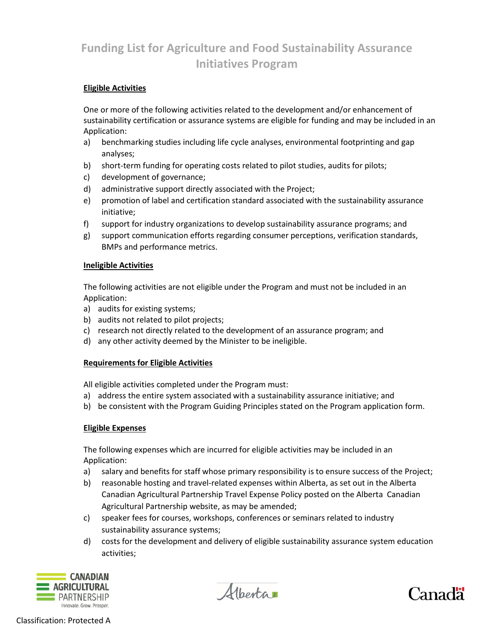# **Funding List for Agriculture and Food Sustainability Assurance Initiatives Program**

## **Eligible Activities**

One or more of the following activities related to the development and/or enhancement of sustainability certification or assurance systems are eligible for funding and may be included in an Application:

- a) benchmarking studies including life cycle analyses, environmental footprinting and gap analyses;
- b) short-term funding for operating costs related to pilot studies, audits for pilots;
- c) development of governance;
- d) administrative support directly associated with the Project;
- e) promotion of label and certification standard associated with the sustainability assurance initiative;
- f) support for industry organizations to develop sustainability assurance programs; and
- g) support communication efforts regarding consumer perceptions, verification standards, BMPs and performance metrics.

## **Ineligible Activities**

The following activities are not eligible under the Program and must not be included in an Application:

- a) audits for existing systems;
- b) audits not related to pilot projects;
- c) research not directly related to the development of an assurance program; and
- d) any other activity deemed by the Minister to be ineligible.

## **Requirements for Eligible Activities**

All eligible activities completed under the Program must:

- a) address the entire system associated with a sustainability assurance initiative; and
- b) be consistent with the Program Guiding Principles stated on the Program application form.

## **Eligible Expenses**

The following expenses which are incurred for eligible activities may be included in an Application:

- a) salary and benefits for staff whose primary responsibility is to ensure success of the Project;
- b) reasonable hosting and travel-related expenses within Alberta, as set out in the Alberta Canadian Agricultural Partnership Travel Expense Policy posted on the Alberta Canadian Agricultural Partnership website, as may be amended;
- c) speaker fees for courses, workshops, conferences or seminars related to industry sustainability assurance systems;
- d) costs for the development and delivery of eligible sustainability assurance system education activities;